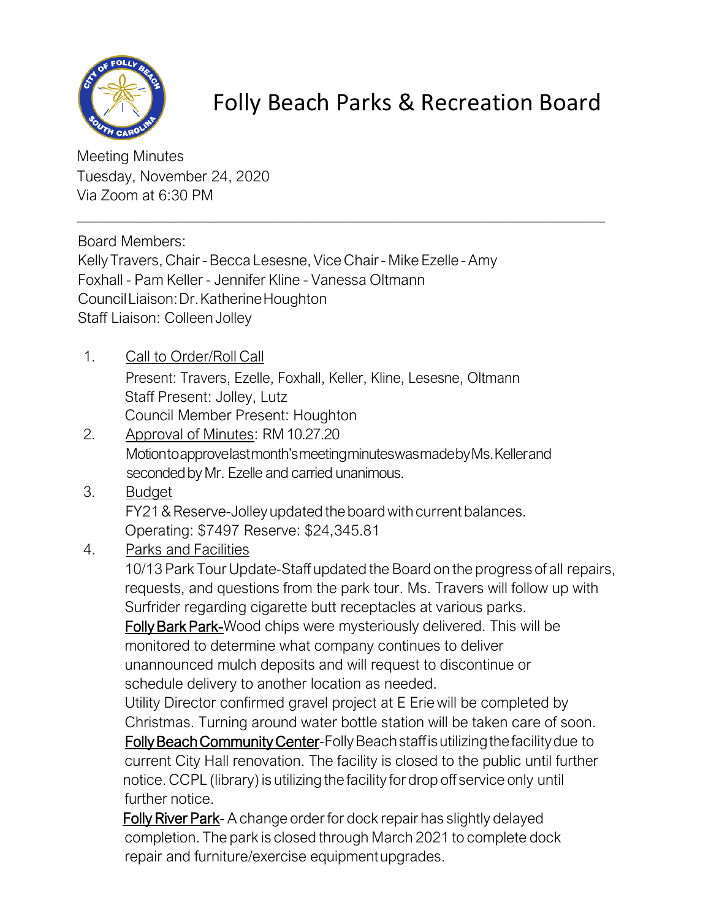

## Folly Beach Parks & Recreation Board

Meeting Minutes Tuesday, November 24, 2020 Via Zoom at 6:30 PM

Board Members:

Kelly Travers, Chair - Becca Lesesne, Vice Chair - Mike Ezelle - Amy Foxhall - Pam Keller - Jennifer Kline - Vanessa Oltmann CouncilLiaison:Dr.KatherineHoughton Staff Liaison: Colleen Jolley

\_\_\_\_\_\_\_\_\_\_\_\_\_\_\_\_\_\_\_\_\_\_\_\_\_\_\_\_\_\_\_\_\_\_\_\_\_\_\_\_\_\_\_\_\_\_\_\_\_\_\_\_\_\_\_\_\_\_\_\_\_\_\_\_\_\_\_\_\_\_

- 1. Call to Order/Roll Call Present: Travers, Ezelle, Foxhall, Keller, Kline, Lesesne, Oltmann Staff Present: Jolley, Lutz Council Member Present: Houghton
- 2. Approval of Minutes: RM10.27.20 Motiontoapprovelastmonth'smeetingminuteswasmadebyMs.Kellerand seconded by Mr. Ezelle and carried unanimous.
- 3. Budget FY21 & Reserve-Jolley updated the board with current balances. Operating: \$7497 Reserve: \$24,345.81
- 4. Parks and Facilities

10/13 Park Tour Update-Staff updated the Board on the progress of all repairs, requests, and questions from the park tour. Ms. Travers will follow up with Surfrider regarding cigarette butt receptacles at various parks.

Folly Bark Park-Wood chips were mysteriously delivered. This will be monitored to determine what company continues to deliver unannounced mulch deposits and will request to discontinue or schedule delivery to another location as needed.

Utility Director confirmed gravel project at E Erie will be completed by Christmas. Turning around water bottle station will be taken care of soon. Folly Beach Community Center-Folly Beach staff is utilizing the facility due to

current City Hall renovation. The facility is closed to the public until further notice. CCPL (library) is utilizing the facility for drop off service only until further notice.

Folly River Park- A change order for dock repair has slightly delayed completion. The park is closed through March 2021 to complete dock repair and furniture/exercise equipmentupgrades.